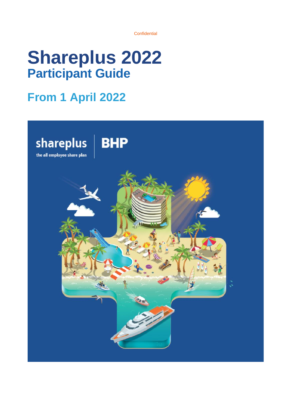# **Shareplus 2022 Participant Guide**

## **From 1 April 2022**

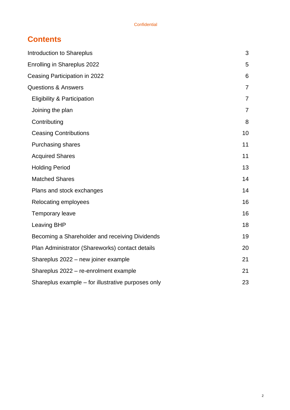## **Contents**

| <b>Introduction to Shareplus</b>                   | 3              |
|----------------------------------------------------|----------------|
| Enrolling in Shareplus 2022                        | 5              |
| Ceasing Participation in 2022                      | 6              |
| <b>Questions &amp; Answers</b>                     | $\overline{7}$ |
| <b>Eligibility &amp; Participation</b>             | $\overline{7}$ |
| Joining the plan                                   | $\overline{7}$ |
| Contributing                                       | 8              |
| <b>Ceasing Contributions</b>                       | 10             |
| <b>Purchasing shares</b>                           | 11             |
| <b>Acquired Shares</b>                             | 11             |
| <b>Holding Period</b>                              | 13             |
| <b>Matched Shares</b>                              | 14             |
| Plans and stock exchanges                          | 14             |
| Relocating employees                               | 16             |
| <b>Temporary leave</b>                             | 16             |
| <b>Leaving BHP</b>                                 | 18             |
| Becoming a Shareholder and receiving Dividends     | 19             |
| Plan Administrator (Shareworks) contact details    | 20             |
| Shareplus 2022 - new joiner example                | 21             |
| Shareplus 2022 - re-enrolment example              | 21             |
| Shareplus example – for illustrative purposes only | 23             |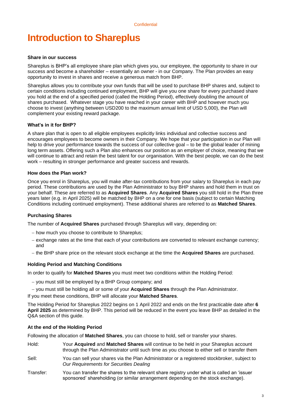## <span id="page-2-0"></span>**Introduction to Shareplus**

#### **Share in our success**

Shareplus is BHP's all employee share plan which gives you, our employee, the opportunity to share in our success and become a shareholder – essentially an owner - in our Company. The Plan provides an easy opportunity to invest in shares and receive a generous match from BHP.

Shareplus allows you to contribute your own funds that will be used to purchase BHP shares and, subject to certain conditions including continued employment, BHP will give you one share for every purchased share you hold at the end of a specified period (called the Holding Period), effectively doubling the amount of shares purchased. Whatever stage you have reached in your career with BHP and however much you choose to invest (anything between USD200 to the maximum annual limit of USD 5,000), the Plan will complement your existing reward package.

#### **What's in it for BHP?**

A share plan that is open to all eligible employees explicitly links individual and collective success and encourages employees to become owners in their Company. We hope that your participation in our Plan will help to drive your performance towards the success of our collective goal – to be the global leader of mining long term assets. Offering such a Plan also enhances our position as an employer of choice, meaning that we will continue to attract and retain the best talent for our organisation. With the best people, we can do the best work – resulting in stronger performance and greater success and rewards.

#### **How does the Plan work?**

Once you enrol in Shareplus, you will make after-tax contributions from your salary to Shareplus in each pay period. These contributions are used by the Plan Administrator to buy BHP shares and hold them in trust on your behalf. These are referred to as **Acquired Shares**. Any **Acquired Shares** you still hold in the Plan three years later (e.g. in April 2025) will be matched by BHP on a one for one basis (subject to certain Matching Conditions including continued employment). These additional shares are referred to as **Matched Shares**.

#### **Purchasing Shares**

The number of **Acquired Shares** purchased through Shareplus will vary, depending on:

- − how much you choose to contribute to Shareplus;
- − exchange rates at the time that each of your contributions are converted to relevant exchange currency; and
- − the BHP share price on the relevant stock exchange at the time the **Acquired Shares** are purchased.

#### **Holding Period and Matching Conditions**

In order to qualify for **Matched Shares** you must meet two conditions within the Holding Period:

- − you must still be employed by a BHP Group company; and
- − you must still be holding all or some of your **Acquired Shares** through the Plan Administrator.

If you meet these conditions, BHP will allocate your **Matched Shares**.

The Holding Period for Shareplus 2022 begins on 1 April 2022 and ends on the first practicable date after **6 April 2025** as determined by BHP. This period will be reduced in the event you leave BHP as detailed in the Q&A section of this guide.

#### **At the end of the Holding Period**

Following the allocation of **Matched Shares**, you can choose to hold, sell or transfer your shares.

- Hold: Your **Acquired** and **Matched Shares** will continue to be held in your Shareplus account through the Plan Administrator until such time as you choose to either sell or transfer them
- Sell: You can sell your shares via the Plan Administrator or a registered stockbroker, subject to *Our Requirements for Securities Dealing*
- Transfer: You can transfer the shares to the relevant share registry under what is called an 'issuer sponsored' shareholding (or similar arrangement depending on the stock exchange).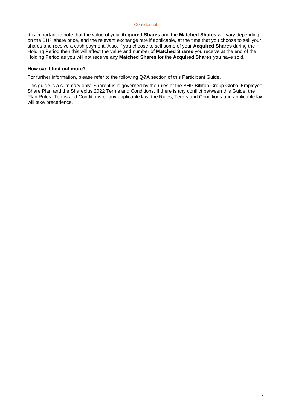It is important to note that the value of your **Acquired Shares** and the **Matched Shares** will vary depending on the BHP share price, and the relevant exchange rate if applicable, at the time that you choose to sell your shares and receive a cash payment. Also, if you choose to sell some of your **Acquired Shares** during the Holding Period then this will affect the value and number of **Matched Shares** you receive at the end of the Holding Period as you will not receive any **Matched Shares** for the **Acquired Shares** you have sold.

#### **How can I find out more?**

For further information, please refer to the following Q&A section of this Participant Guide.

<span id="page-3-0"></span>This guide is a summary only. Shareplus is governed by the rules of the BHP Billiton Group Global Employee Share Plan and the Shareplus 2022 Terms and Conditions. If there is any conflict between this Guide, the Plan Rules, Terms and Conditions or any applicable law, the Rules, Terms and Conditions and applicable law will take precedence.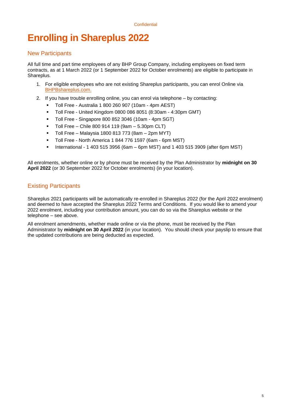## **Enrolling in Shareplus 2022**

#### New Participants

All full time and part time employees of any BHP Group Company, including employees on fixed term contracts, as at 1 March 2022 (or 1 September 2022 for October enrolments) are eligible to participate in Shareplus.

- 1. For eligible employees who are not existing Shareplus participants, you can enrol Online via [BHPBshareplus.com.](http://www.bhpbshareplus.com/)
- 2. If you have trouble enrolling online, you can enrol via telephone by contacting:
	- Toll Free Australia 1 800 260 907 (10am 4pm AEST)
	- Toll Free United Kingdom 0800 086 8051 (8:30am 4:30pm GMT)
	- Toll Free Singapore 800 852 3046 (10am 4pm SGT)
	- Toll Free Chile 800 914 119 (9am 5.30pm CLT)
	- Toll Free Malaysia 1800 813 773 (8am 2pm MYT)
	- Toll Free North America 1 844 776 1597 (6am 6pm MST)
	- International 1 403 515 3956 (6am 6pm MST) and 1 403 515 3909 (after 6pm MST)

All enrolments, whether online or by phone must be received by the Plan Administrator by **midnight on 30 April 2022** (or 30 September 2022 for October enrolments) (in your location).

### Existing Participants

Shareplus 2021 participants will be automatically re-enrolled in Shareplus 2022 (for the April 2022 enrolment) and deemed to have accepted the Shareplus 2022 Terms and Conditions. If you would like to amend your 2022 enrolment, including your contribution amount, you can do so via the Shareplus website or the telephone – see above.

All enrolment amendments, whether made online or via the phone, must be received by the Plan Administrator by **midnight on 30 April 2022** (in your location). You should check your payslip to ensure that the updated contributions are being deducted as expected.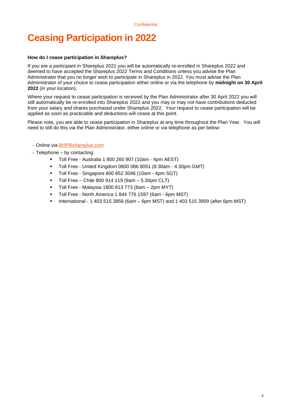## <span id="page-5-0"></span>**Ceasing Participation in 2022**

#### **How do I cease participation in Shareplus?**

If you are a participant in Shareplus 2021 you will be automatically re-enrolled in Shareplus 2022 and deemed to have accepted the Shareplus 2022 Terms and Conditions unless you advise the Plan Administrator that you no longer wish to participate in Shareplus in 2022. You must advise the Plan Administrator of your choice to cease participation either online or via the telephone by **midnight on 30 April 2022** (in your location).

Where your request to cease participation is received by the Plan Administrator after 30 April 2022 you will still automatically be re-enrolled into Shareplus 2022 and you may or may not have contributions deducted from your salary and shares purchased under Shareplus 2022. Your request to cease participation will be applied as soon as practicable and deductions will cease at this point.

Please note, you are able to cease participation in Shareplus at any time throughout the Plan Year. You will need to still do this via the Plan Administrator, either online or via telephone as per below:

#### − Online via [BHPBshareplus.com](http://www.bhpbshareplus.com/)

- − Telephone by contacting:
	- Toll Free Australia 1 800 260 907 (10am 4pm AEST)
	- Toll Free United Kingdom 0800 086 8051 (8:30am 4:30pm GMT)
	- Toll Free Singapore 800 852 3046 (10am 4pm SGT)
	- Toll Free Chile 800 914 119 (9am 5.30pm CLT)
	- Toll Free Malaysia 1800 813 773 (8am 2pm MYT)
	- Toll Free North America 1 844 776 1597 (6am 6pm MST)
	- International 1 403 515 3956 (6am 6pm MST) and 1 403 515 3909 (after 6pm MST)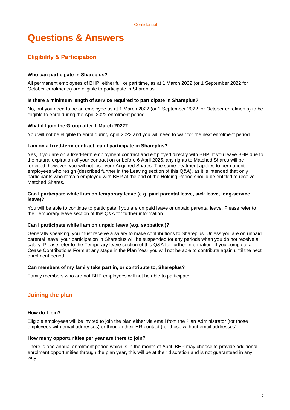## <span id="page-6-0"></span>**Questions & Answers**

## <span id="page-6-1"></span>**Eligibility & Participation**

#### **Who can participate in Shareplus?**

All permanent employees of BHP, either full or part time, as at 1 March 2022 (or 1 September 2022 for October enrolments) are eligible to participate in Shareplus.

#### **Is there a minimum length of service required to participate in Shareplus?**

No, but you need to be an employee as at 1 March 2022 (or 1 September 2022 for October enrolments) to be eligible to enrol during the April 2022 enrolment period.

#### **What if I join the Group after 1 March 2022?**

You will not be eligible to enrol during April 2022 and you will need to wait for the next enrolment period.

#### **I am on a fixed-term contract, can I participate in Shareplus?**

Yes, if you are on a fixed-term employment contract and employed directly with BHP. If you leave BHP due to the natural expiration of your contract on or before 6 April 2025, any rights to Matched Shares will be forfeited, however, you will not lose your Acquired Shares. The same treatment applies to permanent employees who resign (described further in the Leaving section of this Q&A), as it is intended that only participants who remain employed with BHP at the end of the Holding Period should be entitled to receive Matched Shares.

#### **Can I participate while I am on temporary leave (e.g. paid parental leave, sick leave, long-service leave)?**

You will be able to continue to participate if you are on paid leave or unpaid parental leave. Please refer to the Temporary leave section of this Q&A for further information.

#### **Can I participate while I am on unpaid leave (e.g. sabbatical)?**

Generally speaking, you must receive a salary to make contributions to Shareplus. Unless you are on unpaid parental leave, your participation in Shareplus will be suspended for any periods when you do not receive a salary. Please refer to the Temporary leave section of this Q&A for further information. If you complete a Cease Contributions Form at any stage in the Plan Year you will not be able to contribute again until the next enrolment period.

#### **Can members of my family take part in, or contribute to, Shareplus?**

Family members who are not BHP employees will not be able to participate.

### <span id="page-6-2"></span>**Joining the plan**

#### **How do I join?**

Eligible employees will be invited to join the plan either via email from the Plan Administrator (for those employees with email addresses) or through their HR contact (for those without email addresses).

#### **How many opportunities per year are there to join?**

There is one annual enrolment period which is in the month of April. BHP may choose to provide additional enrolment opportunities through the plan year, this will be at their discretion and is not guaranteed in any way.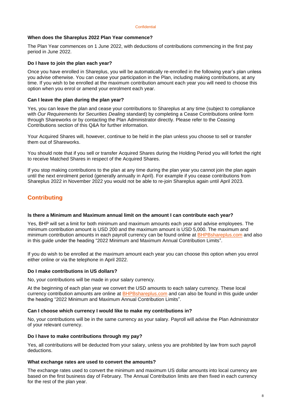#### **When does the Shareplus 2022 Plan Year commence?**

The Plan Year commences on 1 June 2022, with deductions of contributions commencing in the first pay period in June 2022.

#### **Do I have to join the plan each year?**

Once you have enrolled in Shareplus, you will be automatically re-enrolled in the following year's plan unless you advise otherwise. You can cease your participation in the Plan, including making contributions, at any time. If you wish to be enrolled at the maximum contribution amount each year you will need to choose this option when you enrol or amend your enrolment each year.

#### **Can I leave the plan during the plan year?**

Yes, you can leave the plan and cease your contributions to Shareplus at any time (subject to compliance with *Our Requirements for Securities Dealing* standard) by completing a Cease Contributions online form through Shareworks or by contacting the Plan Administrator directly. Please refer to the Ceasing Contributions section of this Q&A for further information.

Your Acquired Shares will, however, continue to be held in the plan unless you choose to sell or transfer them out of Shareworks.

You should note that if you sell or transfer Acquired Shares during the Holding Period you will forfeit the right to receive Matched Shares in respect of the Acquired Shares.

If you stop making contributions to the plan at any time during the plan year you cannot join the plan again until the next enrolment period (generally annually in April). For example if you cease contributions from Shareplus 2022 in November 2022 you would not be able to re-join Shareplus again until April 2023.

## <span id="page-7-0"></span>**Contributing**

#### **Is there a Minimum and Maximum annual limit on the amount I can contribute each year?**

Yes, BHP will set a limit for both minimum and maximum amounts each year and advise employees. The minimum contribution amount is USD 200 and the maximum amount is USD 5,000. The maximum and minimum contribution amounts in each payroll currency can be found online at [BHPBshareplus.com](http://www.bhpbshareplus.com/) and also in this guide under the heading "2022 Minimum and Maximum Annual Contribution Limits".

If you do wish to be enrolled at the maximum amount each year you can choose this option when you enrol either online or via the telephone in April 2022.

#### **Do I make contributions in US dollars?**

No, your contributions will be made in your salary currency.

At the beginning of each plan year we convert the USD amounts to each salary currency. These local currency contribution amounts are online at [BHPBshareplus.com](http://www.bhpbshareplus.com/) and can also be found in this guide under the heading "2022 Minimum and Maximum Annual Contribution Limits".

#### **Can I choose which currency I would like to make my contributions in?**

No, your contributions will be in the same currency as your salary. Payroll will advise the Plan Administrator of your relevant currency.

#### **Do I have to make contributions through my pay?**

Yes, all contributions will be deducted from your salary, unless you are prohibited by law from such payroll deductions.

#### **What exchange rates are used to convert the amounts?**

The exchange rates used to convert the minimum and maximum US dollar amounts into local currency are based on the first business day of February. The Annual Contribution limits are then fixed in each currency for the rest of the plan year.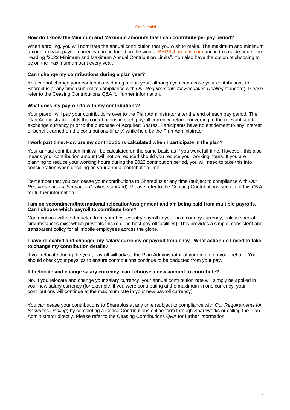#### **How do I know the Minimum and Maximum amounts that I can contribute per pay period?**

When enrolling, you will nominate the annual contribution that you wish to make. The maximum and minimum amount in each payroll currency can be found on the web at **BHPBshareplus.com** and in this quide under the heading "2022 Minimum and Maximum Annual Contribution Limits". You also have the option of choosing to be on the maximum amount every year.

#### **Can I change my contributions during a plan year?**

You cannot change your contributions during a plan year, although you can cease your contributions to Shareplus at any time (subject to compliance with *Our Requirements for Securities Dealing* standard). Please refer to the Ceasing Contributions Q&A for further information.

#### **What does my payroll do with my contributions?**

Your payroll will pay your contributions over to the Plan Administrator after the end of each pay period. The Plan Administrator holds the contributions in each payroll currency before converting to the relevant stock exchange currency prior to the purchase of Acquired Shares. Participants have no entitlement to any interest or benefit earned on the contributions (if any) while held by the Plan Administrator.

#### **I work part time. How are my contributions calculated when I participate in the plan?**

Your annual contribution limit will be calculated on the same basis as if you work full-time. However, this also means your contribution amount will not be reduced should you reduce your working hours. If you are planning to reduce your working hours during the 2022 contribution period, you will need to take this into consideration when deciding on your annual contribution limit.

Remember that you can cease your contributions to Shareplus at any time (subject to compliance with *Our Requirements for Securities Dealing* standard). Please refer to the Ceasing Contributions section of this Q&A for further information.

#### **I am on secondment/international relocation/assignment and am being paid from multiple payrolls. Can I choose which payroll to contribute from?**

Contributions will be deducted from your host country payroll in your host country currency, unless special circumstances exist which prevents this (e.g. no host payroll facilities). This provides a simple, consistent and transparent policy for all mobile employees across the globe.

#### **I have relocated and changed my salary currency or payroll frequency . What action do I need to take to change my contribution details?**

If you relocate during the year, payroll will advise the Plan Administrator of your move on your behalf. You should check your payslips to ensure contributions continue to be deducted from your pay.

#### **If I relocate and change salary currency, can I choose a new amount to contribute?**

No. If you relocate and change your salary currency, your annual contribution rate will simply be applied in your new salary currency (for example, if you were contributing at the maximum in one currency, your contributions will continue at the maximum rate in your new payroll currency).

You can cease your contributions to Shareplus at any time (subject to compliance with *Our Requirements for Securities Dealing*) by completing a Cease Contributions online form through Shareworks or calling the Plan Administrator directly. Please refer to the Ceasing Contributions Q&A for further information.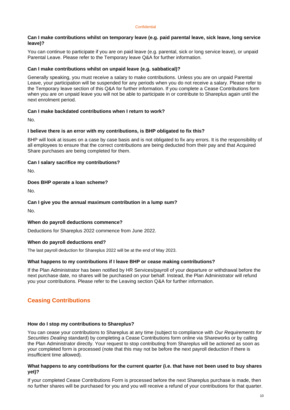#### **Can I make contributions whilst on temporary leave (e.g. paid parental leave, sick leave, long service leave)?**

You can continue to participate if you are on paid leave (e.g. parental, sick or long service leave), or unpaid Parental Leave. Please refer to the Temporary leave Q&A for further information.

#### **Can I make contributions whilst on unpaid leave (e.g. sabbatical)?**

Generally speaking, you must receive a salary to make contributions. Unless you are on unpaid Parental Leave, your participation will be suspended for any periods when you do not receive a salary. Please refer to the Temporary leave section of this Q&A for further information. If you complete a Cease Contributions form when you are on unpaid leave you will not be able to participate in or contribute to Shareplus again until the next enrolment period.

#### **Can I make backdated contributions when I return to work?**

No.

#### **I believe there is an error with my contributions, is BHP obligated to fix this?**

BHP will look at issues on a case by case basis and is not obligated to fix any errors. It is the responsibility of all employees to ensure that the correct contributions are being deducted from their pay and that Acquired Share purchases are being completed for them.

#### **Can I salary sacrifice my contributions?**

No.

#### **Does BHP operate a loan scheme?**

No.

#### **Can I give you the annual maximum contribution in a lump sum?**

No.

#### **When do payroll deductions commence?**

Deductions for Shareplus 2022 commence from June 2022.

#### **When do payroll deductions end?**

The last payroll deduction for Shareplus 2022 will be at the end of May 2023.

#### **What happens to my contributions if I leave BHP or cease making contributions?**

If the Plan Administrator has been notified by HR Services/payroll of your departure or withdrawal before the next purchase date, no shares will be purchased on your behalf. Instead, the Plan Administrator will refund you your contributions. Please refer to the Leaving section Q&A for further information.

#### <span id="page-9-0"></span>**Ceasing Contributions**

#### **How do I stop my contributions to Shareplus?**

You can cease your contributions to Shareplus at any time (subject to compliance with *Our Requirements for Securities Dealing* standard) by completing a Cease Contributions form online via Shareworks or by calling the Plan Administrator directly. Your request to stop contributing from Shareplus will be actioned as soon as your completed form is processed (note that this may not be before the next payroll deduction if there is insufficient time allowed).

#### **What happens to any contributions for the current quarter (i.e. that have not been used to buy shares yet)?**

If your completed Cease Contributions Form is processed before the next Shareplus purchase is made, then no further shares will be purchased for you and you will receive a refund of your contributions for that quarter.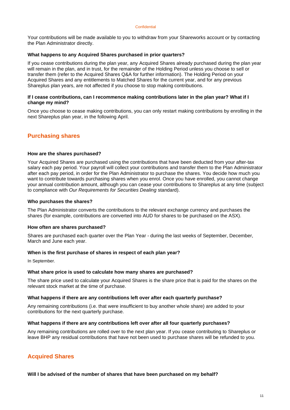Your contributions will be made available to you to withdraw from your Shareworks account or by contacting the Plan Administrator directly.

#### **What happens to any Acquired Shares purchased in prior quarters?**

If you cease contributions during the plan year, any Acquired Shares already purchased during the plan year will remain in the plan, and in trust, for the remainder of the Holding Period unless you choose to sell or transfer them (refer to the Acquired Shares Q&A for further information). The Holding Period on your Acquired Shares and any entitlements to Matched Shares for the current year, and for any previous Shareplus plan years, are not affected if you choose to stop making contributions.

#### **If I cease contributions, can I recommence making contributions later in the plan year? What if I change my mind?**

Once you choose to cease making contributions, you can only restart making contributions by enrolling in the next Shareplus plan year, in the following April.

### <span id="page-10-0"></span>**Purchasing shares**

#### **How are the shares purchased?**

Your Acquired Shares are purchased using the contributions that have been deducted from your after-tax salary each pay period. Your payroll will collect your contributions and transfer them to the Plan Administrator after each pay period, in order for the Plan Administrator to purchase the shares. You decide how much you want to contribute towards purchasing shares when you enrol. Once you have enrolled, you cannot change your annual contribution amount, although you can cease your contributions to Shareplus at any time (subject to compliance with *Our Requirements for Securities Dealing* standard).

#### **Who purchases the shares?**

The Plan Administrator converts the contributions to the relevant exchange currency and purchases the shares (for example, contributions are converted into AUD for shares to be purchased on the ASX).

#### **How often are shares purchased?**

Shares are purchased each quarter over the Plan Year - during the last weeks of September, December, March and June each year.

#### **When is the first purchase of shares in respect of each plan year?**

In September.

#### **What share price is used to calculate how many shares are purchased?**

The share price used to calculate your Acquired Shares is the share price that is paid for the shares on the relevant stock market at the time of purchase.

#### **What happens if there are any contributions left over after each quarterly purchase?**

Any remaining contributions (i.e. that were insufficient to buy another whole share) are added to your contributions for the next quarterly purchase.

#### **What happens if there are any contributions left over after all four quarterly purchases?**

Any remaining contributions are rolled over to the next plan year. If you cease contributing to Shareplus or leave BHP any residual contributions that have not been used to purchase shares will be refunded to you.

### <span id="page-10-1"></span>**Acquired Shares**

**Will I be advised of the number of shares that have been purchased on my behalf?**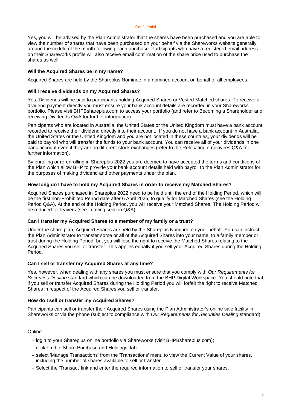Yes, you will be advised by the Plan Administrator that the shares have been purchased and you are able to view the number of shares that have been purchased on your behalf via the Shareworks website generally around the middle of the month following each purchase. Participants who have a registered email address on their Shareworks profile will also receive email confirmation of the share price used to purchase the shares as well.

#### **Will the Acquired Shares be in my name?**

Acquired Shares are held by the Shareplus Nominee in a nominee account on behalf of all employees.

#### **Will I receive dividends on my Acquired Shares?**

Yes. Dividends will be paid to participants holding Acquired Shares or Vested Matched shares. To receive a dividend payment directly you must ensure your bank account details are recorded in your Shareworks portfolio. Please visit BHPBshareplus.com to access your portfolio (and refer to Becoming a Shareholder and receiving Dividends Q&A for further information).

Participants who are located in Australia, the United States or the United Kingdom must have a bank account recorded to receive their dividend directly into their account. If you do not have a bank account in Australia, the United States or the Unitied Kingdom and you are not located in these countries, your dividends will be paid to payroll who will transfer the funds to your bank account. You can receive all of your dividends in one bank account even if they are on different stock exchanges (refer to the Relocating employees Q&A for further information).

By enrolling or re-enrolling in Shareplus 2022 you are deemed to have accepted the terms and conditions of the Plan which allow BHP to provide your bank account details held with payroll to the Plan Administrator for the purposes of making dividend and other payments under the plan.

#### **How long do I have to hold my Acquired Shares in order to receive my Matched Shares?**

Acquired Shares purchased in Shareplus 2022 need to be held until the end of the Holding Period, which will be the first non-Prohibited Period date after 6 April 2025, to qualify for Matched Shares (see the Holding Period Q&A). At the end of the Holding Period, you will receive your Matched Shares. The Holding Period will be reduced for leavers (see Leaving section Q&A).

#### **Can I transfer my Acquired Shares to a member of my family or a trust?**

Under the share plan, Acquired Shares are held by the Shareplus Nominee on your behalf. You can instruct the Plan Administrator to transfer some or all of the Acquired Shares into your name, to a family member or trust during the Holding Period, but you will lose the right to receive the Matched Shares relating to the Acquired Shares you sell or transfer. This applies equally if you sell your Acquired Shares during the Holding Period.

#### **Can I sell or transfer my Acquired Shares at any time?**

Yes, however, when dealing with any shares you must ensure that you comply with *Our Requirements for Securities Dealing* standard which can be downloaded from the BHP Digital Workspace. You should note that if you sell or transfer Acquired Shares during the Holding Period you will forfeit the right to receive Matched Shares in respect of the Acquired Shares you sell or transfer.

#### **How do I sell or transfer my Acquired Shares?**

Participants can sell or transfer their Acquired Shares using the Plan Administrator's online sale facility in Shareworks or via the phone (subject to compliance with *Our Requirements for Securities Dealing* standard).

#### Online:

- − login to your Shareplus online portfolio via Shareworks (visit BHPBshareplus.com);
- − click on the 'Share Purchase and Holdings' tab
- − select 'Manage Transactions' from the 'Transactions' menu to view the Current Value of your shares, including the number of shares available to sell or transfer
- − Select the 'Transact' link and enter the required information to sell or transfer your shares.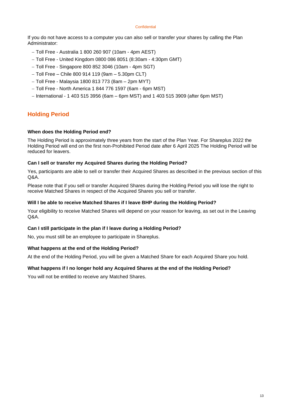If you do not have access to a computer you can also sell or transfer your shares by calling the Plan Administrator:

- − Toll Free Australia 1 800 260 907 (10am 4pm AEST)
- − Toll Free United Kingdom 0800 086 8051 (8:30am 4:30pm GMT)
- − Toll Free Singapore 800 852 3046 (10am 4pm SGT)
- − Toll Free Chile 800 914 119 (9am 5.30pm CLT)
- − Toll Free Malaysia 1800 813 773 (8am 2pm MYT)
- − Toll Free North America 1 844 776 1597 (6am 6pm MST)
- − International 1 403 515 3956 (6am 6pm MST) and 1 403 515 3909 (after 6pm MST)

## <span id="page-12-0"></span>**Holding Period**

#### **When does the Holding Period end?**

The Holding Period is approximately three years from the start of the Plan Year. For Shareplus 2022 the Holding Period will end on the first non-Prohibited Period date after 6 April 2025 The Holding Period will be reduced for leavers.

#### **Can I sell or transfer my Acquired Shares during the Holding Period?**

Yes, participants are able to sell or transfer their Acquired Shares as described in the previous section of this Q&A.

Please note that if you sell or transfer Acquired Shares during the Holding Period you will lose the right to receive Matched Shares in respect of the Acquired Shares you sell or transfer.

#### **Will I be able to receive Matched Shares if I leave BHP during the Holding Period?**

Your eligibility to receive Matched Shares will depend on your reason for leaving, as set out in the Leaving  $O$ & $A$ 

#### **Can I still participate in the plan if I leave during a Holding Period?**

No, you must still be an employee to participate in Shareplus.

#### **What happens at the end of the Holding Period?**

At the end of the Holding Period, you will be given a Matched Share for each Acquired Share you hold.

#### **What happens if I no longer hold any Acquired Shares at the end of the Holding Period?**

<span id="page-12-1"></span>You will not be entitled to receive any Matched Shares.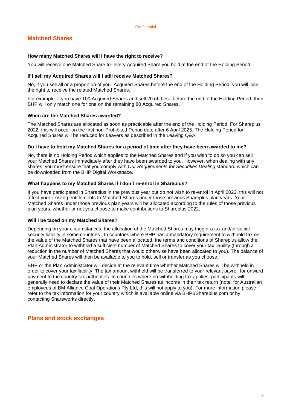## **Matched Shares**

#### **How many Matched Shares will I have the right to receive?**

You will receive one Matched Share for every Acquired Share you hold at the end of the Holding Period.

#### **If I sell my Acquired Shares will I still receive Matched Shares?**

No, if you sell all or a proportion of your Acquired Shares before the end of the Holding Period, you will lose the right to receive the related Matched Shares.

For example: if you have 100 Acquired Shares and sell 20 of these before the end of the Holding Period, then BHP will only match one for one on the remaining 80 Acquired Shares.

#### **When are the Matched Shares awarded?**

The Matched Shares are allocated as soon as practicable after the end of the Holding Period. For Shareplus 2022, this will occur on the first non-Prohibited Period date after 6 April 2025. The Holding Period for Acquired Shares will be reduced for Leavers as described in the Leaving Q&A.

#### **Do I have to hold my Matched Shares for a period of time after they have been awarded to me?**

No, there is no Holding Period which applies to the Matched Shares and if you wish to do so you can sell your Matched Shares immediately after they have been awarded to you. However, when dealing with any shares, you must ensure that you comply with *Our Requirements for Securities Dealing* standard which can be downloaded from the BHP Digital Workspace.

#### **What happens to my Matched Shares if I don't re-enrol in Shareplus?**

If you have participated in Shareplus in the previous year but do not wish to re-enrol in April 2022, this will not affect your existing entitlements to Matched Shares under those previous Shareplus plan years. Your Matched Shares under those previous plan years will be allocated according to the rules of those previous plan years, whether or not you choose to make contributions to Shareplus 2022.

#### **Will I be taxed on my Matched Shares?**

Depending on your circumstances, the allocation of the Matched Shares may trigger a tax and/or social security liability in some countries. In countries where BHP has a mandatory requirement to withhold tax on the value of the Matched Shares that have been allocated, the terms and conditions of Shareplus allow the Plan Administrator to withhold a sufficient number of Matched Shares to cover your tax liability (through a reduction in the number of Matched Shares that would otherwise have been allocated to you). The balance of your Matched Shares will then be available to you to hold, sell or transfer as you choose.

BHP or the Plan Administrator will decide at the relevant time whether Matched Shares will be withheld in order to cover your tax liability. The tax amount withheld will be transferred to your relevant payroll for onward payment to the country tax authorities. In countries where no withholding tax applies, participants will generally need to declare the value of their Matched Shares as income in their tax return (note, for Australian employees of BM Alliance Coal Operations Pty Ltd, this will not apply to you). For more information please refer to the tax information for your country which is available online via BHPBShareplus.com or by contacting Shareworks directly.

#### <span id="page-13-0"></span>**Plans and stock exchanges**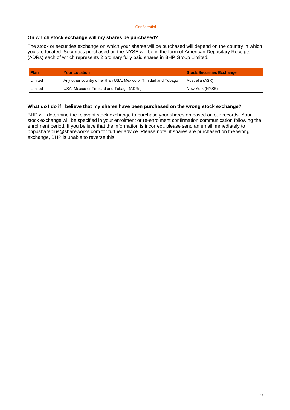#### **On which stock exchange will my shares be purchased?**

The stock or securities exchange on which your shares will be purchased will depend on the country in which you are located. Securities purchased on the NYSE will be in the form of American Depositary Receipts (ADRs) each of which represents 2 ordinary fully paid shares in BHP Group Limited.

| <b>Plan</b> | <b>Your Location</b>                                            | <b>Stock/Securities Exchange</b> |
|-------------|-----------------------------------------------------------------|----------------------------------|
| Limited     | Any other country other than USA, Mexico or Trinidad and Tobago | Australia (ASX)                  |
| Limited     | USA, Mexico or Trinidad and Tobago (ADRs)                       | New York (NYSE)                  |

#### **What do I do if I believe that my shares have been purchased on the wrong stock exchange?**

<span id="page-14-0"></span>BHP will determine the relavant stock exchange to purchase your shares on based on our records. Your stock exchange will be specified in your enrolment or re-enrolment confirmation communication following the enrolment period. If you believe that the information is incorrect, please send an email immediately to bhpbshareplus@shareworks.com for further advice. Please note, if shares are purchased on the wrong exchange, BHP is unable to reverse this.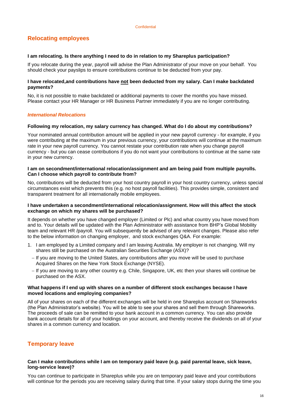## **Relocating employees**

#### **I am relocating. Is there anything I need to do in relation to my Shareplus participation?**

If you relocate during the year, payroll will advise the Plan Administrator of your move on your behalf. You should check your payslips to ensure contributions continue to be deducted from your pay.

#### **I have relocated,and contributions have not been deducted from my salary. Can I make backdated payments?**

No, it is not possible to make backdated or additional payments to cover the months you have missed. Please contact your HR Manager or HR Business Partner immediately if you are no longer contributing.

#### *International Relocations*

#### **Following my relocation, my salary currency has changed. What do I do about my contributions?**

Your nominated annual contribution amount will be applied in your new payroll currency - for example, if you were contributing at the maximum in your previous currency, your contributions will continue at the maximum rate in your new payroll currency. You cannot restate your contribution rate when you change payroll currency - but you can cease contributions if you do not want your contributions to continue at the same rate in your new currency.

#### **I am on secondment/international relocation/assignment and am being paid from multiple payrolls. Can I choose which payroll to contribute from?**

No, contributions will be deducted from your host country payroll in your host country currency, unless special circumstances exist which prevents this (e.g. no host payroll facilities). This provides simple, consistent and transparent treatment for all internationally mobile employees.

#### **I have undertaken a secondment/international relocation/assignment. How will this affect the stock exchange on which my shares will be purchased?**

It depends on whether you have changed employer (Limited or Plc) and what country you have moved from and to. Your details will be updated with the Plan Administrator with assistance from BHP's Global Mobility team and relevant HR /payroll. You will subsequently be advised of any relevant changes. Please also refer to the below information on changing employer, and stock exchanges Q&A. For example:

- 1. I am employed by a Limited company and I am leaving Australia. My employer is not changing. Will my shares still be purchased on the Australian Securities Exchange (ASX)?
	- − If you are moving to the United States, any contributions after you move will be used to purchase Acquired Shares on the New York Stock Exchange (NYSE).
	- − If you are moving to any other country e.g. Chile, Singapore, UK, etc then your shares will continue be purchased on the ASX.

#### **What happens if I end up with shares on a number of different stock exchanges because I have moved locations and employing companies?**

All of your shares on each of the different exchanges will be held in one Shareplus account on Shareworks (the Plan Administrator's website). You will be able to see your shares and sell them through Shareworks. The proceeds of sale can be remitted to your bank account in a common currency. You can also provide bank account details for all of your holdings on your account, and thereby receive the dividends on all of your shares in a common currency and location.

### <span id="page-15-0"></span>**Temporary leave**

#### **Can I make contributions while I am on temporary paid leave (e.g. paid parental leave, sick leave, long-service leave)?**

You can continue to participate in Shareplus while you are on temporary paid leave and your contributions will continue for the periods you are receiving salary during that time. If your salary stops during the time you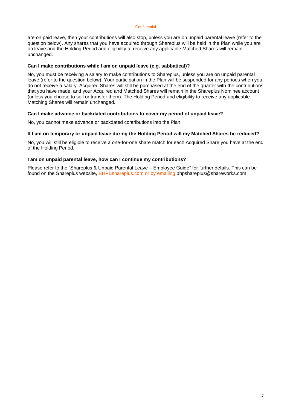are on paid leave, then your contributions will also stop, unless you are on unpaid parental leave (refer to the question below). Any shares that you have acquired through Shareplus will be held in the Plan while you are on leave and the Holding Period and eligibility to receive any applicable Matched Shares will remain unchanged.

#### **Can I make contributions while I am on unpaid leave (e.g. sabbatical)?**

No, you must be receiving a salary to make contributions to Shareplus, unless you are on unpaid parental leave (refer to the question below). Your participation in the Plan will be suspended for any periods when you do not receive a salary. Acquired Shares will still be purchased at the end of the quarter with the contributions that you have made, and your Acquired and Matched Shares will remain in the Shareplus Nominee account (unless you choose to sell or transfer them). The Holding Period and eligibility to receive any applicable Matching Shares will remain unchanged.

#### **Can I make advance or backdated contributions to cover my period of unpaid leave?**

No, you cannot make advance or backdated contributions into the Plan.

#### **If I am on temporary or unpaid leave during the Holding Period will my Matched Shares be reduced?**

No, you will still be eligible to receive a one-for-one share match for each Acquired Share you have at the end of the Holding Period.

#### **I am on unpaid parental leave, how can I continue my contributions?**

<span id="page-16-0"></span>Please refer to the "Shareplus & Unpaid Parental Leave – Employee Guide" for further details. This can be found on the Shareplus website, [BHPBshareplus.com](http://www.bhpbshareplus.com/) or by emailing bhpshareplus@shareworks.com.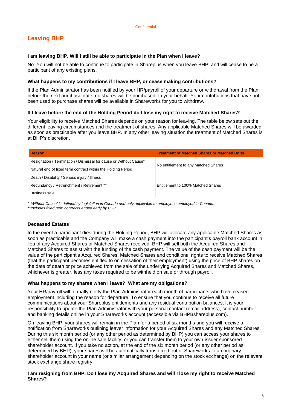## **Leaving BHP**

#### **I am leaving BHP. Will I still be able to participate in the Plan when I leave?**

No. You will not be able to continue to participate in Shareplus when you leave BHP, and will cease to be a participant of any existing plans.

#### **What happens to my contributions if I leave BHP, or cease making contributions?**

If the Plan Administrator has been notified by your HR/payroll of your departure or withdrawal from the Plan before the next purchase date, no shares will be purchased on your behalf. Your contributions that have not been used to purchase shares will be available in Shareworks for you to withdraw.

#### **If I leave before the end of the Holding Period do I lose my right to receive Matched Shares?**

Your eligibility to receive Matched Shares depends on your reason for leaving. The table below sets out the different leaving circumstances and the treatment of shares. Any applicable Matched Shares will be awarded as soon as practicable after you leave BHP. In any other leaving situation the treatment of Matched Shares is at BHP's discretion.

| <b>Reason</b>                                                     | <b>Treatment of Matched Shares or Matched Units</b> |  |  |
|-------------------------------------------------------------------|-----------------------------------------------------|--|--|
| Resignation / Termination / Dismissal for cause or Without Cause* |                                                     |  |  |
| Natural end of fixed term contract within the Holding Period      | No entitlement to any Matched Shares                |  |  |
| Death / Disability / Serious injury / Illness                     |                                                     |  |  |
| Redundancy / Retrenchment / Retirement **                         | Entitlement to 100% Matched Shares                  |  |  |
| Business sale                                                     |                                                     |  |  |

*\* 'Without Cause' is defined by legislation in Canada and only applicable to employees employed in Canada.*

*\*\*Includes fixed term contracts ended early by BHP* 

#### **Deceased Estates**

In the event a participant dies during the Holding Period, BHP will allocate any applicable Matched Shares as soon as practicable and the Company will make a cash payment into the participant's payroll bank account in lieu of any Acquired Shares or Matched Shares received. BHP will sell both the Acquired Shares and Matched Shares to assist with the funding of the cash payment. The value of the cash payment will be the value of the participant's Acquired Shares, Matched Shares and conditional rights to receive Matched Shares (that the participant becomes entitled to on cessation of their employment) using the price of BHP shares on the date of death or price achieved from the sale of the underlying Acquired Shares and Matched Shares, whichever is greater, less any taxes required to be withheld on sale or through payroll.

#### **What happens to my shares when I leave? What are my obligations?**

Your HR/payroll will formally notify the Plan Administrator each month of participants who have ceased employment including the reason for departure. To ensure that you continue to receive all future communications about your Shareplus entitlements and any residual contribution balances, it is your responsibility to update the Plan Administrator with your personal contact (email address), contact number and banking details online in your Shareworks account (accessible via BHPBshareplus.com).

On leaving BHP, your shares will remain in the Plan for a period of six months and you will receive a notification from Shareworks outlining leaver information for your Acquired Shares and any Matched Shares. During this six month period (or any other period as determined by BHP) you can access your shares to either sell them using the online sale facility, or you can transfer them to your own issuer sponsored shareholder account. If you take no action, at the end of the six month period (or any other period as determined by BHP), your shares will be automatically transferred out of Shareworks to an ordinary shareholder account in your name (or similar arrangement depending on the stock exchange) on the relevant stock exchange share registry.

#### **I am resigning from BHP. Do I lose my Acquired Shares and will I lose my right to receive Matched Shares?**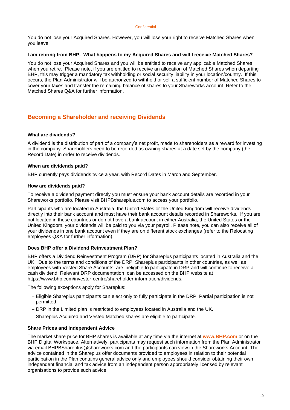You do not lose your Acquired Shares. However, you will lose your right to receive Matched Shares when you leave.

#### **I am retiring from BHP. What happens to my Acquired Shares and will I receive Matched Shares?**

You do not lose your Acquired Shares and you will be entitled to receive any applicable Matched Shares when you retire. Please note, if you are entitled to receive an allocation of Matched Shares when departing BHP, this may trigger a mandatory tax withholding or social security liability in your location/country. If this occurs, the Plan Administrator will be authorized to withhold or sell a sufficient number of Matched Shares to cover your taxes and transfer the remaining balance of shares to your Shareworks account. Refer to the Matched Shares Q&A for further information.

### <span id="page-18-0"></span>**Becoming a Shareholder and receiving Dividends**

#### **What are dividends?**

A dividend is the distribution of part of a company's net profit, made to shareholders as a reward for investing in the company. Shareholders need to be recorded as owning shares at a date set by the company (the Record Date) in order to receive dividends.

#### **When are dividends paid?**

BHP currently pays dividends twice a year, with Record Dates in March and September.

#### **How are dividends paid?**

To receive a dividend payment directly you must ensure your bank account details are recorded in your Shareworks portfolio. Please visit BHPBshareplus.com to access your portfolio.

Participants who are located in Australia, the United States or the United Kingdom will receive dividends directly into their bank account and must have their bank account details recorded in Shareworks. If you are not located in these countries or do not have a bank account in either Australia, the United States or the United Kingdom, your dividends will be paid to you via your payroll. Please note, you can also receive all of your dividends in one bank account even if they are on different stock exchanges (refer to the Relocating employees Q&A for further information).

#### **Does BHP offer a Dividend Reinvestment Plan?**

BHP offers a Dividend Reinvestment Program (DRP) for Shareplus participants located in Australia and the UK. Due to the terms and conditions of the DRP, Shareplus participants in other countries, as well as employees with Vested Share Accounts, are ineligible to participate in DRP and will continue to receive a cash dividend. Relevant DRP documentation can be accessed on the BHP website at https://www.bhp.com/investor-centre/shareholder-information/dividends.

The following exceptions apply for Shareplus:

- − Eligible Shareplus participants can elect only to fully participate in the DRP. Partial participation is not permitted.
- − DRP in the Limited plan is restricted to employees located in Australia and the UK.
- − Shareplus Acquired and Vested Matched shares are eligible to participate.

#### **Share Prices and Independent Advice**

The market share price for BHP shares is available at any time via the internet at **[www.BHP.com](file:///C:/Users/telfh/Desktop/Enrolment/2018/Comms/Documents%20for%20Translation/2.%20Participant%20Guide/www.BHP.com)** or on the BHP Digital Workspace. Alternatively, participants may request such information from the Plan Administrator via email BHPBShareplus@shareworks.com and the participants can view in the Shareworks Account. The advice contained in the Shareplus offer documents provided to employees in relation to their potential participation in the Plan contains general advice only and employees should consider obtaining their own independent financial and tax advice from an independent person appropriately licensed by relevant organisations to provide such advice.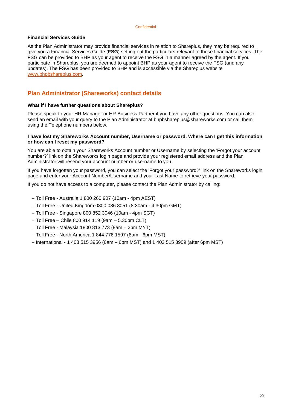#### **Financial Services Guide**

As the Plan Administrator may provide financial services in relation to Shareplus, they may be required to give you a Financial Services Guide (**FSG**) setting out the particulars relevant to those financial services. The FSG can be provided to BHP as your agent to receive the FSG in a manner agreed by the agent. If you participate in Shareplus, you are deemed to appoint BHP as your agent to receive the FSG (and any updates). The FSG has been provided to BHP and is accessible via the Shareplus website [www.bhpbshareplus.com.](http://www.bhpbshareplus.com/)

## <span id="page-19-0"></span>**Plan Administrator (Shareworks) contact details**

#### **What if I have further questions about Shareplus?**

Please speak to your HR Manager or HR Business Partner if you have any other questions. You can also send an email with your query to the Plan Administrator at bhpbshareplus@shareworks.com or call them using the Telephone numbers below.

#### **I have lost my Shareworks Account number, Username or password. Where can I get this information or how can I reset my password?**

You are able to obtain your Shareworks Account number or Username by selecting the 'Forgot your account number?' link on the Shareworks login page and provide your registered email address and the Plan Administrator will resend your account number or username to you.

If you have forgotten your password, you can select the 'Forgot your password?' link on the Shareworks login page and enter your Account Number/Username and your Last Name to retrieve your password.

If you do not have access to a computer, please contact the Plan Administrator by calling:

- − Toll Free Australia 1 800 260 907 (10am 4pm AEST)
- − Toll Free United Kingdom 0800 086 8051 (8:30am 4:30pm GMT)
- − Toll Free Singapore 800 852 3046 (10am 4pm SGT)
- − Toll Free Chile 800 914 119 (9am 5.30pm CLT)
- − Toll Free Malaysia 1800 813 773 (8am 2pm MYT)
- − Toll Free North America 1 844 776 1597 (6am 6pm MST)
- − International 1 403 515 3956 (6am 6pm MST) and 1 403 515 3909 (after 6pm MST)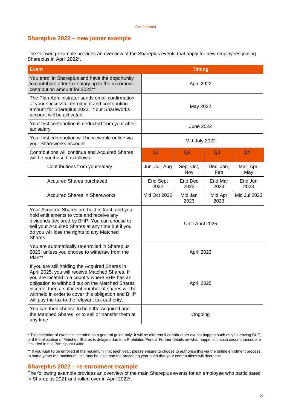### <span id="page-20-0"></span>**Shareplus 2022 – new joiner example**

The following example provides an overview of the Shareplus events that apply for new employees joining Shareplus in April 2022\*.

| <b>Event</b>                                                                                                                                                                                                                                                                                                                                                           | <b>Timing</b>    |                  |                 |                  |
|------------------------------------------------------------------------------------------------------------------------------------------------------------------------------------------------------------------------------------------------------------------------------------------------------------------------------------------------------------------------|------------------|------------------|-----------------|------------------|
| You enrol in Shareplus and have the opportunity<br>to contribute after-tax salary up to the maximum<br>contribution amount for 2022**                                                                                                                                                                                                                                  | April 2022       |                  |                 |                  |
| The Plan Administrator sends email confirmation<br>of your successful enrolment and contribution<br>amount for Shareplus 2022. Your Shareworks<br>account will be activated.                                                                                                                                                                                           | May 2022         |                  |                 |                  |
| Your first contribution is deducted from your after-<br>tax salary                                                                                                                                                                                                                                                                                                     | <b>June 2022</b> |                  |                 |                  |
| Your first contribution will be viewable online via<br>your Shareworks account                                                                                                                                                                                                                                                                                         | Mid-July 2022    |                  |                 |                  |
| Contributions will continue and Acquired Shares<br>will be purchased as follows:                                                                                                                                                                                                                                                                                       | Q <sub>1</sub>   | Q <sub>2</sub>   |                 | Q <sub>4</sub>   |
| Contributions from your salary                                                                                                                                                                                                                                                                                                                                         | Jun, Jul, Aug    | Sep, Oct,<br>Nov |                 | Mar, Apr,<br>May |
| <b>Acquired Shares purchased</b>                                                                                                                                                                                                                                                                                                                                       | End Sept<br>2022 | End Dec<br>2022  |                 | End Jun<br>2023  |
| <b>Acquired Shares in Shareworks</b>                                                                                                                                                                                                                                                                                                                                   | Mid Oct 2022     | Mid Jan<br>2023  | Mid Apr<br>2023 | Mid Jul 2023     |
| Your Acquired Shares are held in trust, and you<br>hold entitlements to vote and receive any<br>dividends declared by BHP. You can choose to<br>sell your Acquired Shares at any time but if you<br>do you will lose the rights to any Matched<br>Shares.                                                                                                              | Until April 2025 |                  |                 |                  |
| You are automatically re-enrolled in Shareplus<br>2023, unless you choose to withdraw from the<br>Plan**                                                                                                                                                                                                                                                               | April 2023       |                  |                 |                  |
| If you are still holding the Acquired Shares in<br>April 2025, you will receive Matched Shares. If<br>you are located in a country where BHP has an<br>obligation to withhold tax on the Matched Shares<br>income, then a sufficient number of shares will be<br>withheld in order to cover this obligation and BHP<br>will pay the tax to the relevant tax authority. | April 2025       |                  |                 |                  |
| You can then choose to hold the Acquired and<br>the Matched Shares, or to sell or transfer them at<br>any time                                                                                                                                                                                                                                                         | Ongoing          |                  |                 |                  |

\* This calendar of events is intended as a general guide only. It will be different if certain other events happen such as you leaving BHP, or if the allocation of Matched Shares is delayed due to a Prohibited Period. Further details on what happens in such circumstances are included in this Participant Guide.

\*\* If you wish to be enrolled at the maximum limit each year, please ensure to choose to authorise this via the online enrolment process. In some years the maximum limit may be less than the preceding year such that your contributions will decrease.

#### <span id="page-20-1"></span>**Shareplus 2022 – re-enrolment example**

The following example provides an overview of the main Shareplus events for an employee who participated in Shareplus 2021 and rolled over in April 2022\*.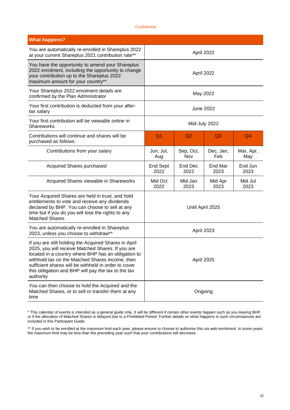| <b>What happens?</b>                                                                                                                                                                                                                                                                                                                             |                         |                  |                  |                  |
|--------------------------------------------------------------------------------------------------------------------------------------------------------------------------------------------------------------------------------------------------------------------------------------------------------------------------------------------------|-------------------------|------------------|------------------|------------------|
| You are automatically re-enrolled in Shareplus 2022<br>at your current Shareplus 2021 contribution rate**                                                                                                                                                                                                                                        | April 2022              |                  |                  |                  |
| You have the opportunity to amend your Shareplus<br>2022 enrolment, including the opportunity to change<br>your contribution up to the Shareplus 2022<br>maximum amount for your country**                                                                                                                                                       | April 2022              |                  |                  |                  |
| Your Shareplus 2022 enrolment details are<br>confirmed by the Plan Administrator                                                                                                                                                                                                                                                                 | May 2022                |                  |                  |                  |
| Your first contribution is deducted from your after-<br>tax salary                                                                                                                                                                                                                                                                               | <b>June 2022</b>        |                  |                  |                  |
| Your first contribution will be viewable online in<br>Shareworks                                                                                                                                                                                                                                                                                 | Mid-July 2022           |                  |                  |                  |
| Contributions will continue and shares will be<br>purchased as follows:                                                                                                                                                                                                                                                                          | Q <sub>1</sub>          | Q2               | Q <sub>3</sub>   | Q <sub>4</sub>   |
| Contributions from your salary                                                                                                                                                                                                                                                                                                                   | Jun, Jul,<br>Aug        | Sep, Oct,<br>Nov | Dec, Jan,<br>Feb | Mar, Apr,<br>May |
| <b>Acquired Shares purchased</b>                                                                                                                                                                                                                                                                                                                 | <b>End Sept</b><br>2022 | End Dec<br>2022  | End Mar<br>2023  | End Jun<br>2023  |
| Acquired Shares viewable in Shareworks                                                                                                                                                                                                                                                                                                           | Mid Oct<br>2022         |                  |                  | Mid Jul<br>2023  |
| Your Acquired Shares are held in trust, and hold<br>entitlements to vote and receive any dividends<br>declared by BHP. You can choose to sell at any<br>time but if you do you will lose the rights to any<br><b>Matched Shares</b>                                                                                                              | Until April 2025        |                  |                  |                  |
| You are automatically re-enrolled in Shareplus<br>2023, unless you choose to withdraw**                                                                                                                                                                                                                                                          | April 2023              |                  |                  |                  |
| If you are still holding the Acquired Shares in April<br>2025, you will receive Matched Shares. If you are<br>located in a country where BHP has an obligation to<br>withhold tax on the Matched Shares income, then<br>sufficient shares will be withheld in order to cover<br>this obligation and BHP will pay the tax to the tax<br>authority | April 2025              |                  |                  |                  |
| You can then choose to hold the Acquired and the<br>Matched Shares, or to sell or transfer them at any<br>time                                                                                                                                                                                                                                   | Ongoing                 |                  |                  |                  |

<sup>\*</sup> This calendar of events is intended as a general guide only. It will be different if certain other events happen such as you leaving BHP, or if the allocation of Matched Shares is delayed due to a Prohibited Period. Further details on what happens in such circumstances are included in this Participant Guide.

<sup>\*\*</sup> If you wish to be enrolled at the maximum limit each year, please ensure to choose to authorise this via web enrolment. In some years the maximum limit may be less than the preceding year such that your contributions will decrease.